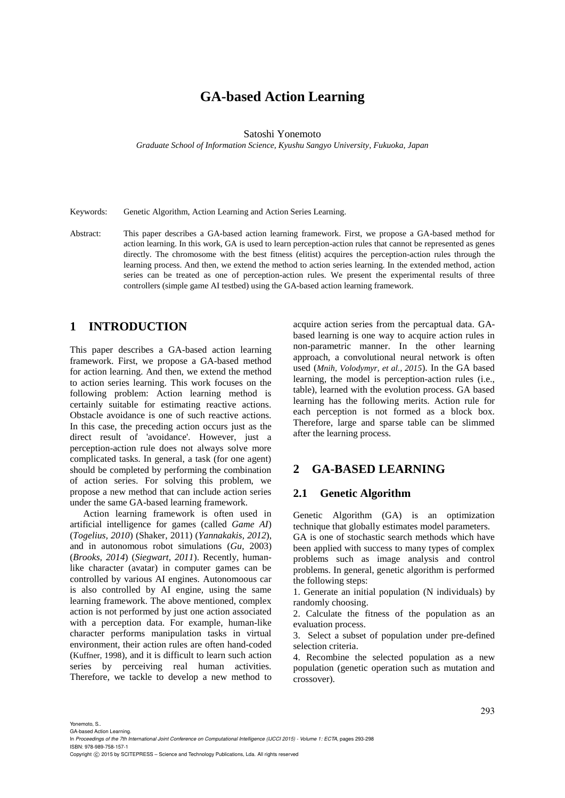# **GA-based Action Learning**

Satoshi Yonemoto

*Graduate School of Information Science, Kyushu Sangyo University, Fukuoka, Japan*

Keywords: Genetic Algorithm, Action Learning and Action Series Learning.

Abstract: This paper describes a GA-based action learning framework. First, we propose a GA-based method for action learning. In this work, GA is used to learn perception-action rules that cannot be represented as genes directly. The chromosome with the best fitness (elitist) acquires the perception-action rules through the learning process. And then, we extend the method to action series learning. In the extended method, action series can be treated as one of perception-action rules. We present the experimental results of three controllers (simple game AI testbed) using the GA-based action learning framework.

## **1 INTRODUCTION**

This paper describes a GA-based action learning framework. First, we propose a GA-based method for action learning. And then, we extend the method to action series learning. This work focuses on the following problem: Action learning method is certainly suitable for estimating reactive actions. Obstacle avoidance is one of such reactive actions. In this case, the preceding action occurs just as the direct result of 'avoidance'. However, just a perception-action rule does not always solve more complicated tasks. In general, a task (for one agent) should be completed by performing the combination of action series. For solving this problem, we propose a new method that can include action series under the same GA-based learning framework.

Action learning framework is often used in artificial intelligence for games (called *Game AI*) (*Togelius, 2010*) (Shaker, 2011) (*Yannakakis, 2012*), and in autonomous robot simulations (*Gu*, 2003) (*Brooks, 2014*) (*Siegwart, 2011*). Recently, humanlike character (avatar) in computer games can be controlled by various AI engines. Autonomoous car is also controlled by AI engine, using the same learning framework. The above mentioned, complex action is not performed by just one action associated with a perception data. For example, human-like character performs manipulation tasks in virtual environment, their action rules are often hand-coded (Kuffner, 1998), and it is difficult to learn such action series by perceiving real human activities. Therefore, we tackle to develop a new method to

acquire action series from the percaptual data. GAbased learning is one way to acquire action rules in non-parametric manner. In the other learning approach, a convolutional neural network is often used (*Mnih, Volodymyr, et al., 2015*). In the GA based learning, the model is perception-action rules (i.e., table), learned with the evolution process. GA based learning has the following merits. Action rule for each perception is not formed as a block box. Therefore, large and sparse table can be slimmed after the learning process.

## **2 GA-BASED LEARNING**

## **2.1 Genetic Algorithm**

Genetic Algorithm (GA) is an optimization technique that globally estimates model parameters.

GA is one of stochastic search methods which have been applied with success to many types of complex problems such as image analysis and control problems. In general, genetic algorithm is performed the following steps:

1. Generate an initial population (N individuals) by randomly choosing.

2. Calculate the fitness of the population as an evaluation process.

3. Select a subset of population under pre-defined selection criteria.

4. Recombine the selected population as a new population (genetic operation such as mutation and crossover).

Yonemoto, S.. GA-based Action Learning.

In *Proceedings of the 7th International Joint Conference on Computational Intelligence (IJCCI 2015) - Volume 1: ECTA*, pages 293-298 ISBN: 978-989-758-157-1

Copyright (C) 2015 by SCITEPRESS - Science and Technology Publications, Lda. All rights reserved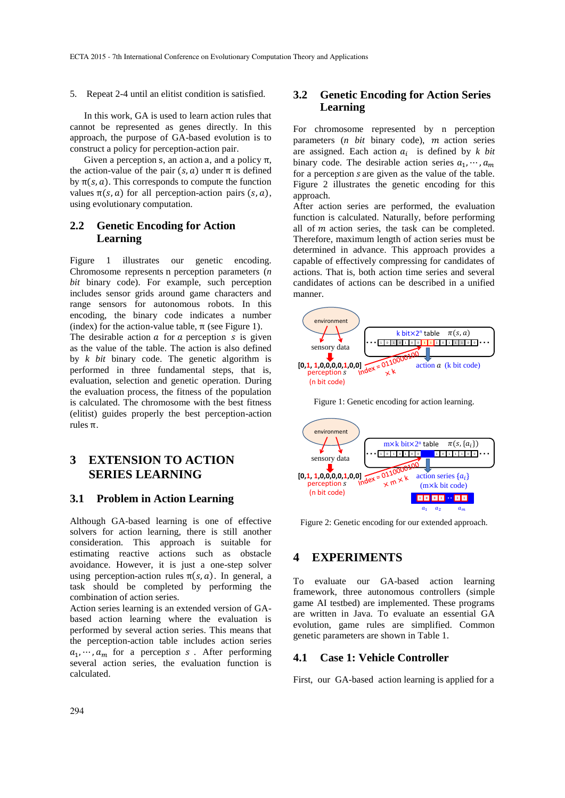5. Repeat 2-4 until an elitist condition is satisfied.

In this work, GA is used to learn action rules that cannot be represented as genes directly. In this approach, the purpose of GA-based evolution is to construct a policy for perception-action pair.

Given a perception s, an action a, and a policy  $\pi$ , the action-value of the pair  $(s, a)$  under  $\pi$  is defined by  $\pi(s, a)$ . This corresponds to compute the function values  $\pi(s, a)$  for all perception-action pairs  $(s, a)$ , using evolutionary computation.

## **2.2 Genetic Encoding for Action Learning**

Figure 1 illustrates our genetic encoding. Chromosome represents n perception parameters (*n bit* binary code). For example, such perception includes sensor grids around game characters and range sensors for autonomous robots. In this encoding, the binary code indicates a number (index) for the action-value table,  $\pi$  (see Figure 1).

The desirable action  $a$  for  $a$  perception  $s$  is given as the value of the table. The action is also defined by *k bit* binary code. The genetic algorithm is performed in three fundamental steps, that is, evaluation, selection and genetic operation. During the evaluation process, the fitness of the population is calculated. The chromosome with the best fitness (elitist) guides properly the best perception-action rules π.

## **3 EXTENSION TO ACTION SERIES LEARNING**

#### **3.1 Problem in Action Learning**

Although GA-based learning is one of effective solvers for action learning, there is still another consideration. This approach is suitable for estimating reactive actions such as obstacle avoidance. However, it is just a one-step solver using perception-action rules  $\pi(s, a)$ . In general, a task should be completed by performing the combination of action series.

Action series learning is an extended version of GAbased action learning where the evaluation is performed by several action series. This means that the perception-action table includes action series  $a_1, \dots, a_m$  for a perception s. After performing several action series, the evaluation function is calculated.

## **3.2 Genetic Encoding for Action Series Learning**

For chromosome represented by n perception parameters (*n bit* binary code), *m* action series are assigned. Each action  $a_i$  is defined by  $k$  bit binary code. The desirable action series  $a_1, \dots, a_m$ for a perception *s* are given as the value of the table. Figure 2 illustrates the genetic encoding for this approach.

After action series are performed, the evaluation function is calculated. Naturally, before performing all of  *action series, the task can be completed.* Therefore, maximum length of action series must be determined in advance. This approach provides a capable of effectively compressing for candidates of actions. That is, both action time series and several candidates of actions can be described in a unified manner.



Figure 1: Genetic encoding for action learning.



Figure 2: Genetic encoding for our extended approach.

## **4 EXPERIMENTS**

To evaluate our GA-based action learning framework, three autonomous controllers (simple game AI testbed) are implemented. These programs are written in Java. To evaluate an essential GA evolution, game rules are simplified. Common genetic parameters are shown in Table 1.

## **4.1 Case 1: Vehicle Controller**

First, our GA-based action learning is applied for a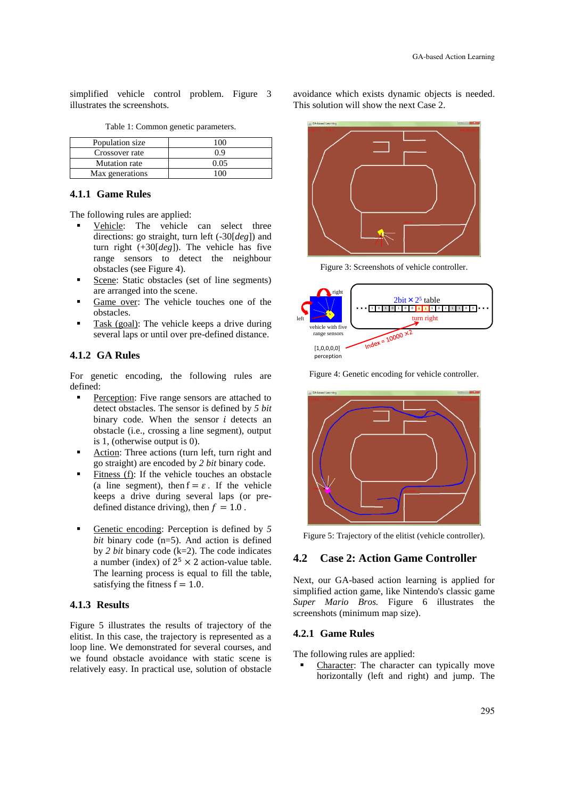simplified vehicle control problem. Figure 3 illustrates the screenshots.

| Population size |     |
|-----------------|-----|
| Crossover rate  | በ ዓ |
| Mutation rate   |     |
| Max generations |     |

Table 1: Common genetic parameters.

#### **4.1.1 Game Rules**

The following rules are applied:

- Vehicle: The vehicle can select three directions: go straight, turn left (-30[*deg*]) and turn right (+30[*deg*]). The vehicle has five range sensors to detect the neighbour obstacles (see Figure 4).
- Scene: Static obstacles (set of line segments) are arranged into the scene.
- Game over: The vehicle touches one of the obstacles.
- Task (goal): The vehicle keeps a drive during several laps or until over pre-defined distance.

#### **4.1.2 GA Rules**

For genetic encoding, the following rules are defined:

- Perception: Five range sensors are attached to detect obstacles. The sensor is defined by *5 bit* binary code. When the sensor  $i$  detects an obstacle (i.e., crossing a line segment), output is 1, (otherwise output is 0).
- Action: Three actions (turn left, turn right and go straight) are encoded by *2 bit* binary code.
- Fitness (f): If the vehicle touches an obstacle (a line segment), then  $f = \varepsilon$ . If the vehicle keeps a drive during several laps (or predefined distance driving), then  $f = 1.0$ .
- Genetic encoding: Perception is defined by *5 bit* binary code (n=5). And action is defined by *2 bit* binary code (k=2). The code indicates a number (index) of  $2^5 \times 2$  action-value table. The learning process is equal to fill the table, satisfying the fitness  $f = 1.0$ .

#### **4.1.3 Results**

Figure 5 illustrates the results of trajectory of the elitist. In this case, the trajectory is represented as a loop line. We demonstrated for several courses, and we found obstacle avoidance with static scene is relatively easy. In practical use, solution of obstacle avoidance which exists dynamic objects is needed. This solution will show the next Case 2.



Figure 3: Screenshots of vehicle controller.



Figure 4: Genetic encoding for vehicle controller.



Figure 5: Trajectory of the elitist (vehicle controller).

## **4.2 Case 2: Action Game Controller**

Next, our GA-based action learning is applied for simplified action game, like Nintendo's classic game *Super Mario Bros.* Figure 6 illustrates the screenshots (minimum map size).

### **4.2.1 Game Rules**

The following rules are applied:

 Character: The character can typically move horizontally (left and right) and jump. The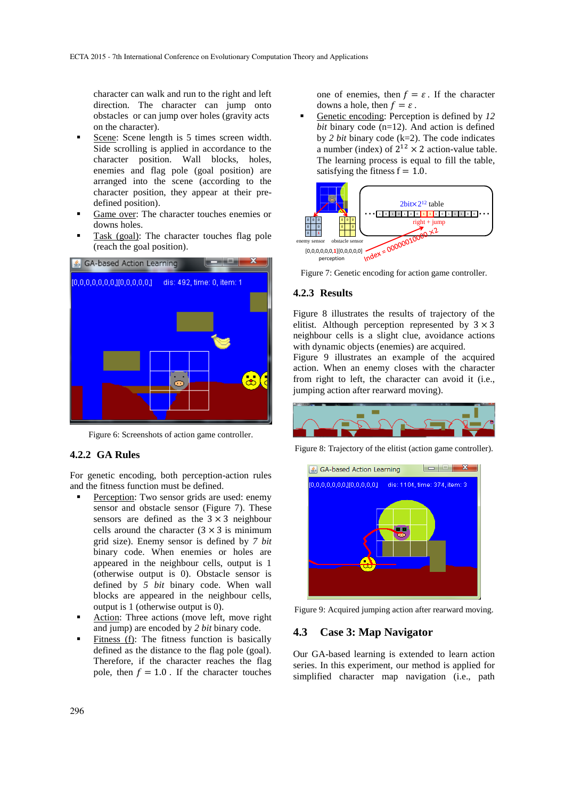character can walk and run to the right and left direction. The character can jump onto obstacles or can jump over holes (gravity acts on the character).

- Scene: Scene length is 5 times screen width. Side scrolling is applied in accordance to the character position. Wall blocks, holes, enemies and flag pole (goal position) are arranged into the scene (according to the character position, they appear at their predefined position).
- Game over: The character touches enemies or downs holes.
- Task (goal): The character touches flag pole (reach the goal position).



Figure 6: Screenshots of action game controller.

#### **4.2.2 GA Rules**

For genetic encoding, both perception-action rules and the fitness function must be defined.

- Perception: Two sensor grids are used: enemy sensor and obstacle sensor (Figure 7). These sensors are defined as the  $3 \times 3$  neighbour cells around the character  $(3 \times 3)$  is minimum grid size). Enemy sensor is defined by *7 bit* binary code. When enemies or holes are appeared in the neighbour cells, output is 1 (otherwise output is 0). Obstacle sensor is defined by *5 bit* binary code. When wall blocks are appeared in the neighbour cells, output is 1 (otherwise output is 0).
- Action: Three actions (move left, move right and jump) are encoded by *2 bit* binary code.
- Fitness (f): The fitness function is basically defined as the distance to the flag pole (goal). Therefore, if the character reaches the flag pole, then  $f = 1.0$ . If the character touches

one of enemies, then  $f = \varepsilon$ . If the character downs a hole, then  $f = \varepsilon$ .

 Genetic encoding: Perception is defined by *12 bit* binary code (n=12). And action is defined by *2 bit* binary code (k=2). The code indicates a number (index) of  $2^{12} \times 2$  action-value table. The learning process is equal to fill the table, satisfying the fitness  $f = 1.0$ .



Figure 7: Genetic encoding for action game controller.

#### **4.2.3 Results**

Figure 8 illustrates the results of trajectory of the elitist. Although perception represented by  $3 \times 3$ neighbour cells is a slight clue, avoidance actions with dynamic objects (enemies) are acquired.

Figure 9 illustrates an example of the acquired action. When an enemy closes with the character from right to left, the character can avoid it (i.e., jumping action after rearward moving).



Figure 8: Trajectory of the elitist (action game controller).



Figure 9: Acquired jumping action after rearward moving.

### **4.3 Case 3: Map Navigator**

Our GA-based learning is extended to learn action series. In this experiment, our method is applied for simplified character map navigation (i.e., path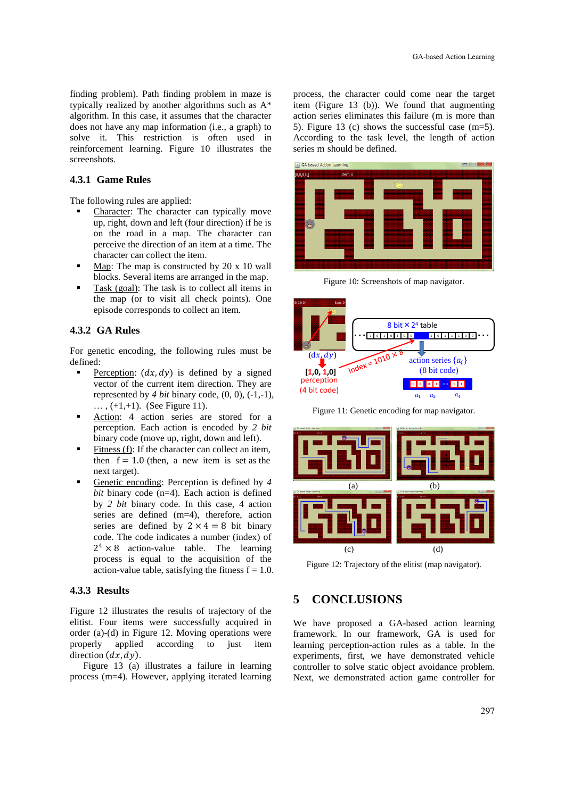finding problem). Path finding problem in maze is typically realized by another algorithms such as A\* algorithm. In this case, it assumes that the character does not have any map information (i.e., a graph) to solve it. This restriction is often used in reinforcement learning. Figure 10 illustrates the screenshots.

#### **4.3.1 Game Rules**

The following rules are applied:

- Character: The character can typically move up, right, down and left (four direction) if he is on the road in a map. The character can perceive the direction of an item at a time. The character can collect the item.
- Map: The map is constructed by 20 x 10 wall blocks. Several items are arranged in the map.
- Task (goal): The task is to collect all items in the map (or to visit all check points). One episode corresponds to collect an item.

#### **4.3.2 GA Rules**

For genetic encoding, the following rules must be defined:

- Perception:  $(dx, dy)$  is defined by a signed vector of the current item direction. They are represented by  $4 \text{ bit}$  binary code,  $(0, 0)$ ,  $(-1, -1)$ ,  $\ldots$ ,  $(+1,+1)$ . (See Figure 11).
- Action: 4 action series are stored for a perception. Each action is encoded by *2 bit* binary code (move up, right, down and left).
- Fitness (f): If the character can collect an item, then  $f = 1.0$  (then, a new item is set as the next target).
- Genetic encoding: Perception is defined by *4 bit* binary code (n=4). Each action is defined by *2 bit* binary code. In this case, 4 action series are defined (m=4), therefore, action series are defined by  $2 \times 4 = 8$  bit binary code. The code indicates a number (index) of  $2^4 \times 8$  action-value table. The learning process is equal to the acquisition of the action-value table, satisfying the fitness  $f = 1.0$ .

### **4.3.3 Results**

Figure 12 illustrates the results of trajectory of the elitist. Four items were successfully acquired in order (a)-(d) in Figure 12. Moving operations were properly applied according to just item direction  $(dx, dy)$ .

Figure 13 (a) illustrates a failure in learning process (m=4). However, applying iterated learning

process, the character could come near the target item (Figure 13 (b)). We found that augmenting action series eliminates this failure (m is more than 5). Figure 13 (c) shows the successful case (m=5). According to the task level, the length of action series m should be defined.



Figure 10: Screenshots of map navigator.



Figure 11: Genetic encoding for map navigator.



Figure 12: Trajectory of the elitist (map navigator).

## **5 CONCLUSIONS**

We have proposed a GA-based action learning framework. In our framework, GA is used for learning perception-action rules as a table. In the experiments, first, we have demonstrated vehicle controller to solve static object avoidance problem. Next, we demonstrated action game controller for